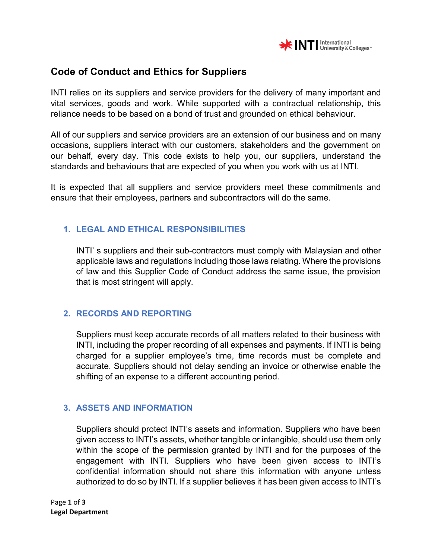

# **Code of Conduct and Ethics for Suppliers**

INTI relies on its suppliers and service providers for the delivery of many important and vital services, goods and work. While supported with a contractual relationship, this reliance needs to be based on a bond of trust and grounded on ethical behaviour.

All of our suppliers and service providers are an extension of our business and on many occasions, suppliers interact with our customers, stakeholders and the government on our behalf, every day. This code exists to help you, our suppliers, understand the standards and behaviours that are expected of you when you work with us at INTI.

It is expected that all suppliers and service providers meet these commitments and ensure that their employees, partners and subcontractors will do the same.

## **1. LEGAL AND ETHICAL RESPONSIBILITIES**

INTI' s suppliers and their sub-contractors must comply with Malaysian and other applicable laws and regulations including those laws relating. Where the provisions of law and this Supplier Code of Conduct address the same issue, the provision that is most stringent will apply.

### **2. RECORDS AND REPORTING**

Suppliers must keep accurate records of all matters related to their business with INTI, including the proper recording of all expenses and payments. If INTI is being charged for a supplier employee's time, time records must be complete and accurate. Suppliers should not delay sending an invoice or otherwise enable the shifting of an expense to a different accounting period.

### **3. ASSETS AND INFORMATION**

Suppliers should protect INTI's assets and information. Suppliers who have been given access to INTI's assets, whether tangible or intangible, should use them only within the scope of the permission granted by INTI and for the purposes of the engagement with INTI. Suppliers who have been given access to INTI's confidential information should not share this information with anyone unless authorized to do so by INTI. If a supplier believes it has been given access to INTI's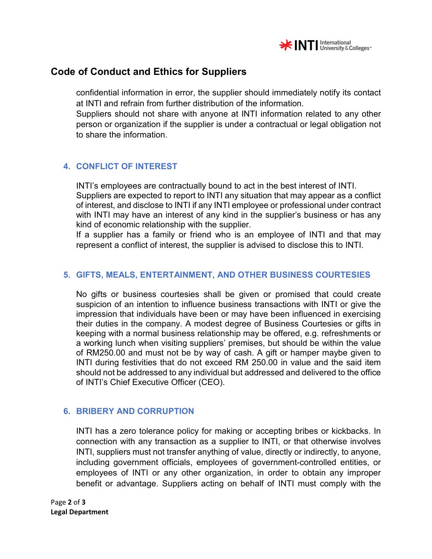

## **Code of Conduct and Ethics for Suppliers**

confidential information in error, the supplier should immediately notify its contact at INTI and refrain from further distribution of the information.

Suppliers should not share with anyone at INTI information related to any other person or organization if the supplier is under a contractual or legal obligation not to share the information.

## **4. CONFLICT OF INTEREST**

INTI's employees are contractually bound to act in the best interest of INTI. Suppliers are expected to report to INTI any situation that may appear as a conflict of interest, and disclose to INTI if any INTI employee or professional under contract with INTI may have an interest of any kind in the supplier's business or has any kind of economic relationship with the supplier.

If a supplier has a family or friend who is an employee of INTI and that may represent a conflict of interest, the supplier is advised to disclose this to INTI.

#### **5. GIFTS, MEALS, ENTERTAINMENT, AND OTHER BUSINESS COURTESIES**

No gifts or business courtesies shall be given or promised that could create suspicion of an intention to influence business transactions with INTI or give the impression that individuals have been or may have been influenced in exercising their duties in the company. A modest degree of Business Courtesies or gifts in keeping with a normal business relationship may be offered, e.g. refreshments or a working lunch when visiting suppliers' premises, but should be within the value of RM250.00 and must not be by way of cash. A gift or hamper maybe given to INTI during festivities that do not exceed RM 250.00 in value and the said item should not be addressed to any individual but addressed and delivered to the office of INTI's Chief Executive Officer (CEO).

### **6. BRIBERY AND CORRUPTION**

INTI has a zero tolerance policy for making or accepting bribes or kickbacks. In connection with any transaction as a supplier to INTI, or that otherwise involves INTI, suppliers must not transfer anything of value, directly or indirectly, to anyone, including government officials, employees of government-controlled entities, or employees of INTI or any other organization, in order to obtain any improper benefit or advantage. Suppliers acting on behalf of INTI must comply with the